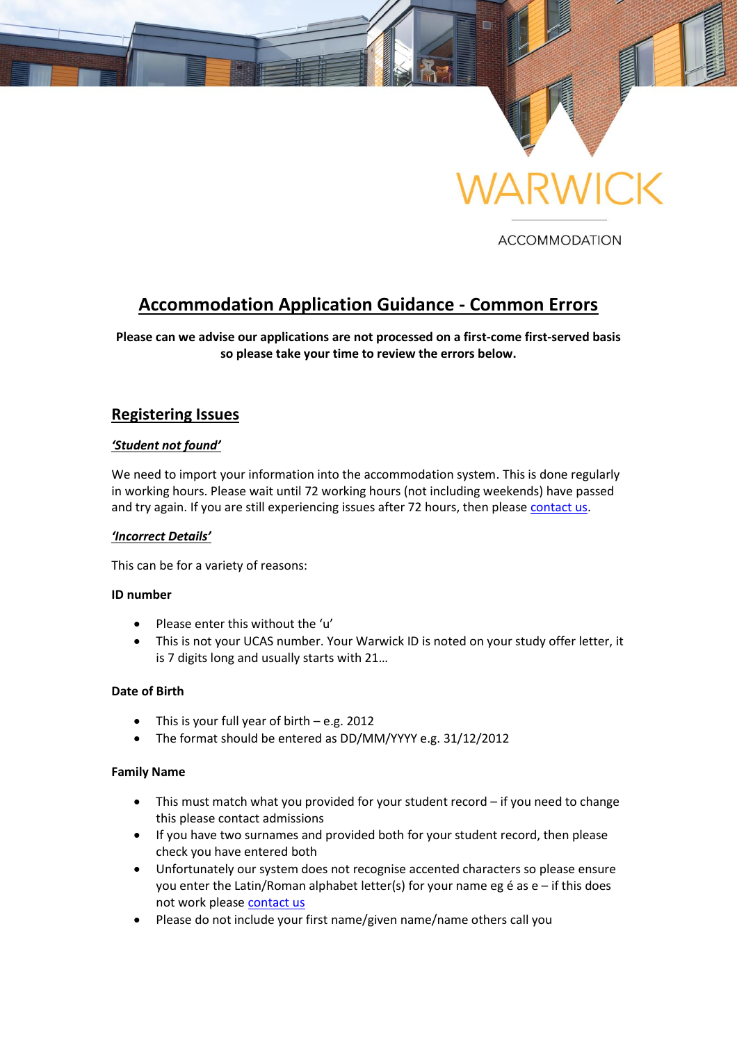

**ACCOMMODATION** 

# **Accommodation Application Guidance - Common Errors**

**Please can we advise our applications are not processed on a first-come first-served basis so please take your time to review the errors below.**

# **Registering Issues**

#### *'Student not found'*

We need to import your information into the accommodation system. This is done regularly in working hours. Please wait until 72 working hours (not including weekends) have passed and try again. If you are still experiencing issues after 72 hours, then please [contact us.](mailto:accommodation@warwick.ac.uk)

#### *'Incorrect Details'*

This can be for a variety of reasons:

#### **ID number**

- Please enter this without the 'u'
- This is not your UCAS number. Your Warwick ID is noted on your study offer letter, it is 7 digits long and usually starts with 21…

#### **Date of Birth**

- This is your full year of birth e.g. 2012
- The format should be entered as DD/MM/YYYY e.g. 31/12/2012

#### **Family Name**

- This must match what you provided for your student record if you need to change this please contact admissions
- If you have two surnames and provided both for your student record, then please check you have entered both
- Unfortunately our system does not recognise accented characters so please ensure you enter the Latin/Roman alphabet letter(s) for your name eg é as e – if this does not work please [contact us](mailto:accommodation@warwick.ac.uk)
- Please do not include your first name/given name/name others call you